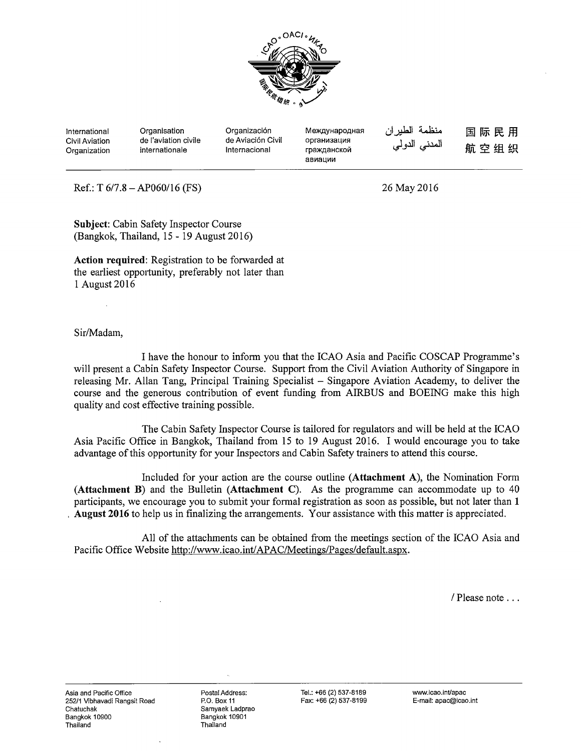

International Civil Aviation Organization **Organisation** de !'aviation civile internationale

Organización de Aviación Civil lnternacional Meждународная организация гражданской авиации

منظمة الطيران المدن*ي* الدول*ي* 

**国际民用** 航空组织

 $Ref.: T 6/7.8 - AP060/16 (FS)$ 

26 May2016

**Subject:** Cabin Safety Inspector Course (Bangkok, Thailand,  $15 - 19$  August 2016)

**Action required:** Registration to be forwarded at the earliest opportunity, preferably not later than 1 August 2016

Sir/Madam,

I have the honour to inform you that the ICAO Asia and Pacific COSCAP Programme's will present a Cabin Safety Inspector Course. Support from the Civil Aviation Authority of Singapore in releasing Mr. Allan Tang, Principal Training Specialist- Singapore Aviation Academy, to deliver the course and the generous contribution of event funding from AIRBUS and BOEING make this high quality and cost effective training possible.

The Cabin Safety Inspector Course is tailored for regulators and will be held at the ICAO Asia Pacific Office in Bangkok, Thailand from 15 to 19 August 2016. I would encourage you to take advantage of this opportunity for your Inspectors and Cabin Safety trainers to attend this course.

Included for your action are the course outline **(Attachment** A), the Nomination Form **(Attachment B)** and the Bulletin **(Attachment** C). As the programme can accommodate up to 40 participants, we encourage you to submit your formal registration as soon as possible, but not later than **1**  . **August 2016** to help us in finalizing the arrangements. Your assistance with this matter is appreciated.

All of the attachments can be obtained from the meetings section of the ICAO Asia and Pacific Office Website http://www.icao.int/APAC/Meetings/Pages/default.aspx.

/ Please note ...